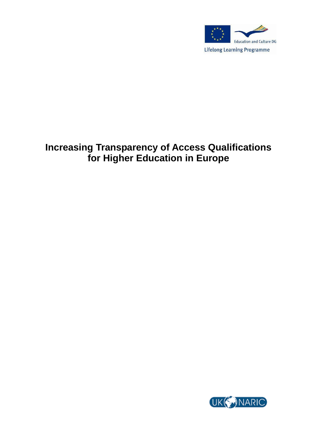

# **Increasing Transparency of Access Qualifications for Higher Education in Europe**

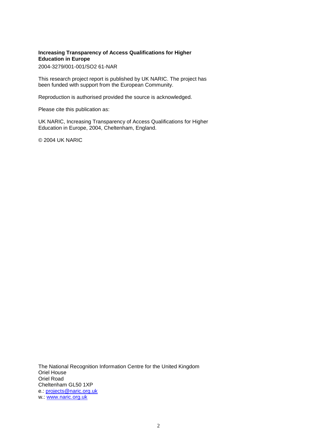#### **Increasing Transparency of Access Qualifications for Higher Education in Europe**

2004-3279/001-001/SO2 61-NAR

This research project report is published by UK NARIC. The project has been funded with support from the European Community.

Reproduction is authorised provided the source is acknowledged.

Please cite this publication as:

UK NARIC, Increasing Transparency of Access Qualifications for Higher Education in Europe, 2004, Cheltenham, England.

© 2004 UK NARIC

The National Recognition Information Centre for the United Kingdom Oriel House Oriel Road Cheltenham GL50 1XP e.: [projects@naric.org.uk](mailto:projects@naric.org.uk) w.: [www.naric.org.uk](http://www.naric.org.uk/)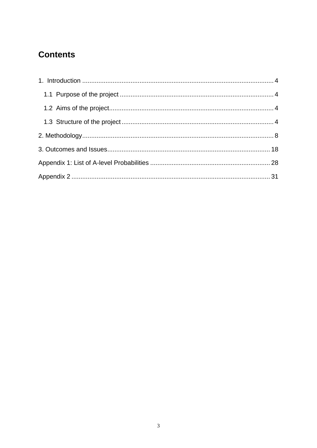# **Contents**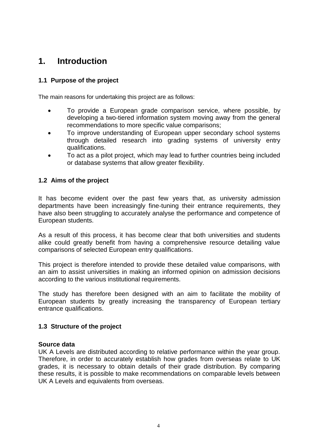## <span id="page-3-0"></span>**1. Introduction**

## <span id="page-3-1"></span>**1.1 Purpose of the project**

The main reasons for undertaking this project are as follows:

- To provide a European grade comparison service, where possible, by developing a two-tiered information system moving away from the general recommendations to more specific value comparisons;
- To improve understanding of European upper secondary school systems through detailed research into grading systems of university entry qualifications.
- To act as a pilot project, which may lead to further countries being included or database systems that allow greater flexibility.

### <span id="page-3-2"></span>**1.2 Aims of the project**

It has become evident over the past few years that, as university admission departments have been increasingly fine-tuning their entrance requirements, they have also been struggling to accurately analyse the performance and competence of European students.

As a result of this process, it has become clear that both universities and students alike could greatly benefit from having a comprehensive resource detailing value comparisons of selected European entry qualifications.

This project is therefore intended to provide these detailed value comparisons, with an aim to assist universities in making an informed opinion on admission decisions according to the various institutional requirements.

The study has therefore been designed with an aim to facilitate the mobility of European students by greatly increasing the transparency of European tertiary entrance qualifications.

#### <span id="page-3-3"></span>**1.3 Structure of the project**

#### **Source data**

UK A Levels are distributed according to relative performance within the year group. Therefore, in order to accurately establish how grades from overseas relate to UK grades, it is necessary to obtain details of their grade distribution. By comparing these results, it is possible to make recommendations on comparable levels between UK A Levels and equivalents from overseas.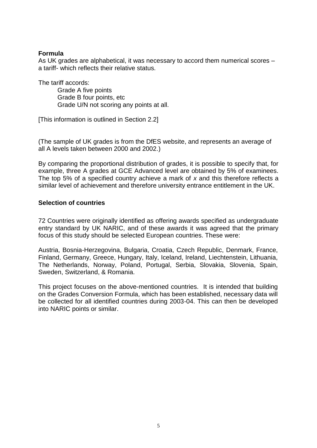#### **Formula**

As UK grades are alphabetical, it was necessary to accord them numerical scores – a tariff- which reflects their relative status.

The tariff accords:

Grade A five points Grade B four points, etc Grade U/N not scoring any points at all.

[This information is outlined in Section 2.2]

(The sample of UK grades is from the DfES website, and represents an average of all A levels taken between 2000 and 2002.)

By comparing the proportional distribution of grades, it is possible to specify that, for example, three A grades at GCE Advanced level are obtained by 5% of examinees. The top 5% of a specified country achieve a mark of *x* and this therefore reflects a similar level of achievement and therefore university entrance entitlement in the UK.

### **Selection of countries**

72 Countries were originally identified as offering awards specified as undergraduate entry standard by UK NARIC, and of these awards it was agreed that the primary focus of this study should be selected European countries. These were:

Austria, Bosnia-Herzegovina, Bulgaria, Croatia, Czech Republic, Denmark, France, Finland, Germany, Greece, Hungary, Italy, Iceland, Ireland, Liechtenstein, Lithuania, The Netherlands, Norway, Poland, Portugal, Serbia, Slovakia, Slovenia, Spain, Sweden, Switzerland, & Romania.

This project focuses on the above-mentioned countries. It is intended that building on the Grades Conversion Formula, which has been established, necessary data will be collected for all identified countries during 2003-04. This can then be developed into NARIC points or similar.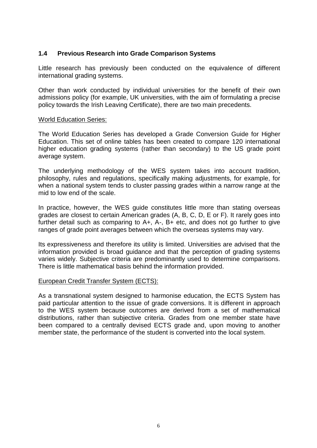### **1.4 Previous Research into Grade Comparison Systems**

Little research has previously been conducted on the equivalence of different international grading systems.

Other than work conducted by individual universities for the benefit of their own admissions policy (for example, UK universities, with the aim of formulating a precise policy towards the Irish Leaving Certificate), there are two main precedents.

#### World Education Series:

The World Education Series has developed a Grade Conversion Guide for Higher Education. This set of online tables has been created to compare 120 international higher education grading systems (rather than secondary) to the US grade point average system.

The underlying methodology of the WES system takes into account tradition, philosophy, rules and regulations, specifically making adjustments, for example, for when a national system tends to cluster passing grades within a narrow range at the mid to low end of the scale.

In practice, however, the WES guide constitutes little more than stating overseas grades are closest to certain American grades (A, B, C, D, E or F). It rarely goes into further detail such as comparing to A+, A-, B+ etc, and does not go further to give ranges of grade point averages between which the overseas systems may vary.

Its expressiveness and therefore its utility is limited. Universities are advised that the information provided is broad guidance and that the perception of grading systems varies widely. Subjective criteria are predominantly used to determine comparisons. There is little mathematical basis behind the information provided.

#### European Credit Transfer System (ECTS):

As a transnational system designed to harmonise education, the ECTS System has paid particular attention to the issue of grade conversions. It is different in approach to the WES system because outcomes are derived from a set of mathematical distributions, rather than subjective criteria. Grades from one member state have been compared to a centrally devised ECTS grade and, upon moving to another member state, the performance of the student is converted into the local system.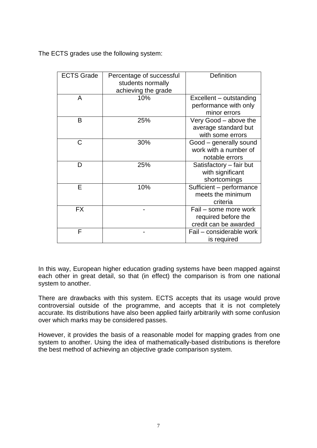The ECTS grades use the following system:

| <b>ECTS Grade</b> | Percentage of successful<br>students normally | Definition                                                            |
|-------------------|-----------------------------------------------|-----------------------------------------------------------------------|
| A                 | achieving the grade<br>10%                    | Excellent – outstanding<br>performance with only<br>minor errors      |
| B                 | 25%                                           | Very Good - above the<br>average standard but<br>with some errors     |
| C                 | 30%                                           | Good – generally sound<br>work with a number of<br>notable errors     |
| D                 | 25%                                           | Satisfactory - fair but<br>with significant<br>shortcomings           |
| Е                 | 10%                                           | Sufficient - performance<br>meets the minimum<br>criteria             |
| <b>FX</b>         |                                               | Fail - some more work<br>required before the<br>credit can be awarded |
| F                 |                                               | Fail - considerable work<br>is required                               |

In this way, European higher education grading systems have been mapped against each other in great detail, so that (in effect) the comparison is from one national system to another.

There are drawbacks with this system. ECTS accepts that its usage would prove controversial outside of the programme, and accepts that it is not completely accurate. Its distributions have also been applied fairly arbitrarily with some confusion over which marks may be considered passes.

However, it provides the basis of a reasonable model for mapping grades from one system to another. Using the idea of mathematically-based distributions is therefore the best method of achieving an objective grade comparison system.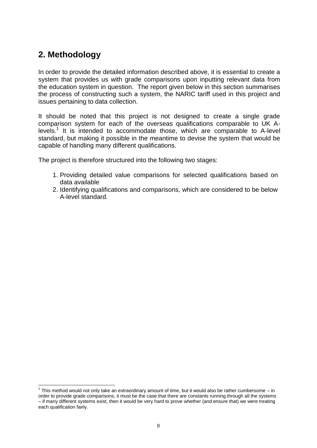# <span id="page-7-0"></span>**2. Methodology**

-

In order to provide the detailed information described above, it is essential to create a system that provides us with grade comparisons upon inputting relevant data from the education system in question. The report given below in this section summarises the process of constructing such a system, the NARIC tariff used in this project and issues pertaining to data collection.

It should be noted that this project is not designed to create a single grade comparison system for each of the overseas qualifications comparable to UK Alevels.<sup>1</sup> It is intended to accommodate those, which are comparable to A-level standard, but making it possible in the meantime to devise the system that would be capable of handling many different qualifications.

The project is therefore structured into the following two stages:

- 1. Providing detailed value comparisons for selected qualifications based on data available
- 2. Identifying qualifications and comparisons, which are considered to be below A-level standard.

 $1$  This method would not only take an extraordinary amount of time, but it would also be rather cumbersome – in order to provide grade comparisons, it must be the case that there are constants running through all the systems – if many different systems exist, then it would be very hard to prove whether (and ensure that) we were treating each qualification fairly.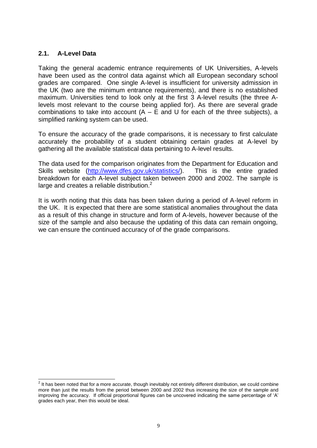### **2.1. A-Level Data**

Taking the general academic entrance requirements of UK Universities, A-levels have been used as the control data against which all European secondary school grades are compared. One single A-level is insufficient for university admission in the UK (two are the minimum entrance requirements), and there is no established maximum. Universities tend to look only at the first 3 A-level results (the three Alevels most relevant to the course being applied for). As there are several grade combinations to take into account  $(A - E$  and U for each of the three subjects), a simplified ranking system can be used.

To ensure the accuracy of the grade comparisons, it is necessary to first calculate accurately the probability of a student obtaining certain grades at A-level by gathering all the available statistical data pertaining to A-level results.

The data used for the comparison originates from the Department for Education and Skills website [\(http://www.dfes.gov.uk/statistics/\)](http://www.dfes.gov.uk/statistics/). This is the entire graded breakdown for each A-level subject taken between 2000 and 2002. The sample is large and creates a reliable distribution. $2$ 

It is worth noting that this data has been taken during a period of A-level reform in the UK. It is expected that there are some statistical anomalies throughout the data as a result of this change in structure and form of A-levels, however because of the size of the sample and also because the updating of this data can remain ongoing, we can ensure the continued accuracy of of the grade comparisons.

 2 It has been noted that for a more accurate, though inevitably not entirely different distribution, we could combine more than just the results from the period between 2000 and 2002 thus increasing the size of the sample and improving the accuracy. If official proportional figures can be uncovered indicating the same percentage of 'A' grades each year, then this would be ideal.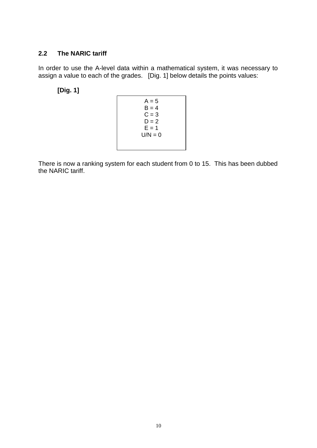## **2.2 The NARIC tariff**

In order to use the A-level data within a mathematical system, it was necessary to assign a value to each of the grades. [Dig. 1] below details the points values:

**[Dig. 1]**

| $A = 5$<br>$B = 4$<br>$C = 3$<br>$D = 2$<br>$E = 1$<br>$U/N = 0$ |
|------------------------------------------------------------------|
|------------------------------------------------------------------|

There is now a ranking system for each student from 0 to 15. This has been dubbed the NARIC tariff.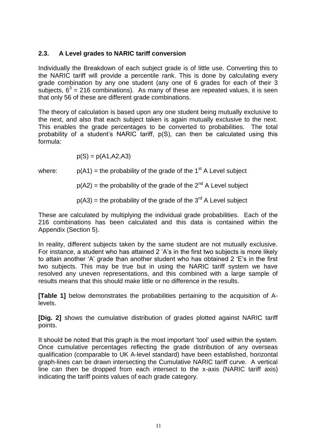## **2.3. A Level grades to NARIC tariff conversion**

Individually the Breakdown of each subject grade is of little use. Converting this to the NARIC tariff will provide a percentile rank. This is done by calculating every grade combination by any one student (any one of 6 grades for each of their 3 subjects,  $6^3$  = 216 combinations). As many of these are repeated values, it is seen that only 56 of these are different grade combinations.

The theory of calculation is based upon any one student being mutually exclusive to the next, and also that each subject taken is again mutually exclusive to the next. This enables the grade percentages to be converted to probabilities. The total probability of a student's NARIC tariff, p(S), can then be calculated using this formula:

$$
p(S) = p(A1, A2, A3)
$$

where:  $p(A1) =$  the probability of the grade of the 1<sup>st</sup> A Level subject

 $p(A2)$  = the probability of the grade of the  $2^{nd}$  A Level subject

 $p(A3)$  = the probability of the grade of the 3<sup>rd</sup> A Level subject

These are calculated by multiplying the individual grade probabilities. Each of the 216 combinations has been calculated and this data is contained within the Appendix (Section 5).

In reality, different subjects taken by the same student are not mutually exclusive. For instance, a student who has attained 2 'A's in the first two subjects is more likely to attain another 'A' grade than another student who has obtained 2 'E's in the first two subjects. This may be true but in using the NARIC tariff system we have resolved any uneven representations, and this combined with a large sample of results means that this should make little or no difference in the results.

**[Table 1]** below demonstrates the probabilities pertaining to the acquisition of Alevels.

**[Dig. 2]** shows the cumulative distribution of grades plotted against NARIC tariff points.

It should be noted that this graph is the most important 'tool' used within the system. Once cumulative percentages reflecting the grade distribution of any overseas qualification (comparable to UK A-level standard) have been established, horizontal graph-lines can be drawn intersecting the Cumulative NARIC tariff curve. A vertical line can then be dropped from each intersect to the x-axis (NARIC tariff axis) indicating the tariff points values of each grade category.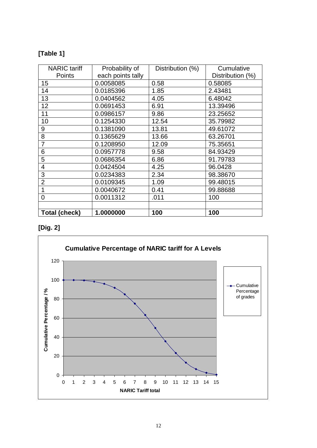## **[Table 1]**

| <b>NARIC</b> tariff  | Probability of    | Distribution (%) | Cumulative       |
|----------------------|-------------------|------------------|------------------|
| <b>Points</b>        | each points tally |                  | Distribution (%) |
| 15                   | 0.0058085         | 0.58             | 0.58085          |
| 14                   | 0.0185396         | 1.85             | 2.43481          |
| 13                   | 0.0404562         | 4.05             | 6.48042          |
| 12                   | 0.0691453         | 6.91             | 13.39496         |
| $\overline{11}$      | 0.0986157         | 9.86             | 23.25652         |
| 10                   | 0.1254330         | 12.54            | 35.79982         |
| 9                    | 0.1381090         | 13.81            | 49.61072         |
| 8                    | 0.1365629         | 13.66            | 63.26701         |
| 7                    | 0.1208950         | 12.09            | 75.35651         |
| 6                    | 0.0957778         | 9.58             | 84.93429         |
| 5                    | 0.0686354         | 6.86             | 91.79783         |
| 4                    | 0.0424504         | 4.25             | 96.0428          |
| 3                    | 0.0234383         | 2.34             | 98.38670         |
| $\overline{2}$       | 0.0109345         | 1.09             | 99.48015         |
|                      | 0.0040672         | 0.41             | 99.88688         |
| 0                    | 0.0011312         | .011             | 100              |
|                      |                   |                  |                  |
| <b>Total (check)</b> | 1.0000000         | 100              | 100              |

## **[Dig. 2]**

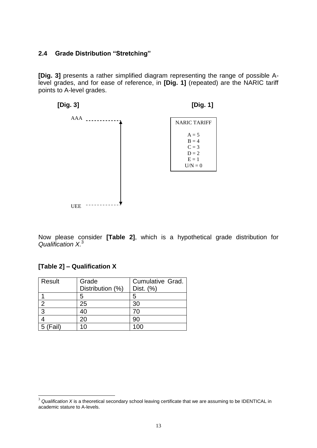## **2.4 Grade Distribution "Stretching"**

**[Dig. 3]** presents a rather simplified diagram representing the range of possible Alevel grades, and for ease of reference, in **[Dig. 1]** (repeated) are the NARIC tariff points to A-level grades.



Now please consider **[Table 2]**, which is a hypothetical grade distribution for *Qualification X.*<sup>3</sup>

#### **[Table 2] – Qualification X**

-

| Result | Grade<br>Distribution (%) | Cumulative Grad.<br>Dist. (%) |
|--------|---------------------------|-------------------------------|
|        |                           |                               |
|        | 5                         | 5                             |
| າ      | 25                        | 30                            |
| 3      | 40                        | 70                            |
|        | 20                        | 90                            |
| (Fail) |                           |                               |

<sup>&</sup>lt;sup>3</sup> Qualification X is a theoretical secondary school leaving certificate that we are assuming to be IDENTICAL in academic stature to A-levels.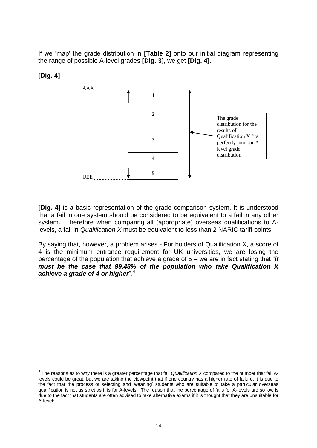If we 'map' the grade distribution in **[Table 2]** onto our initial diagram representing the range of possible A-level grades **[Dig. 3]**, we get **[Dig. 4]**.

## **[Dig. 4]**



**[Dig. 4]** is a basic representation of the grade comparison system. It is understood that a fail in one system should be considered to be equivalent to a fail in any other system. Therefore when comparing all (appropriate) overseas qualifications to Alevels, a fail in *Qualification X* must be equivalent to less than 2 NARIC tariff points.

By saying that, however, a problem arises - For holders of Qualification X, a score of 4 is the minimum entrance requirement for UK universities, we are losing the percentage of the population that achieve a grade of 5 – we are in fact stating that "*it must be the case that 99.48% of the population who take Qualification X achieve a grade of 4 or higher*".<sup>4</sup>

 4 The reasons as to why there is a greater percentage that fail *Qualification X* compared to the number that fail Alevels could be great, but we are taking the viewpoint that if one country has a higher rate of failure, it is due to the fact that the process of selecting and 'weaning' students who are suitable to take a particular overseas qualification is not as strict as it is for A-levels. The reason that the percentage of fails for A-levels are so low is due to the fact that students are often advised to take alternative exams if it is thought that they are unsuitable for A-levels.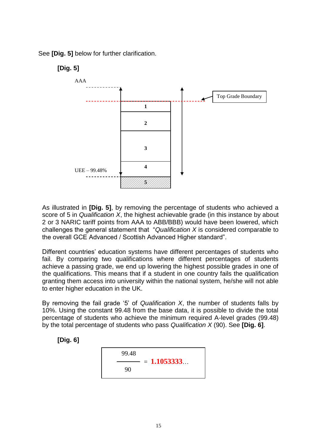See **[Dig. 5]** below for further clarification.

## **[Dig. 5]**



As illustrated in **[Dig. 5]**, by removing the percentage of students who achieved a score of 5 in *Qualification X*, the highest achievable grade (in this instance by about 2 or 3 NARIC tariff points from AAA to ABB/BBB) would have been lowered, which challenges the general statement that "*Qualification X* is considered comparable to the overall GCE Advanced / Scottish Advanced Higher standard".

Different countries' education systems have different percentages of students who fail. By comparing two qualifications where different percentages of students achieve a passing grade, we end up lowering the highest possible grades in one of the qualifications. This means that if a student in one country fails the qualification granting them access into university within the national system, he/she will not able to enter higher education in the UK.

By removing the fail grade '5' of *Qualification X*, the number of students falls by 10%. Using the constant 99.48 from the base data, it is possible to divide the total percentage of students who achieve the minimum required A-level grades (99.48) by the total percentage of students who pass *Qualification X* (90). See **[Dig. 6]**.

**[Dig. 6]**

$$
\frac{99.48}{90} = 1.1053333...
$$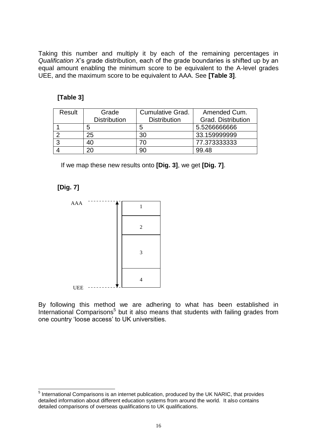Taking this number and multiply it by each of the remaining percentages in *Qualification X*'s grade distribution, each of the grade boundaries is shifted up by an equal amount enabling the minimum score to be equivalent to the A-level grades UEE, and the maximum score to be equivalent to AAA. See **[Table 3]**.

## **[Table 3]**

| Result | Grade               | <b>Cumulative Grad.</b> | Amended Cum.              |
|--------|---------------------|-------------------------|---------------------------|
|        | <b>Distribution</b> | <b>Distribution</b>     | <b>Grad. Distribution</b> |
|        | 5                   | 5                       | 5.526666666               |
|        | 25                  | 30                      | 33.159999999              |
|        |                     |                         | 77.373333333              |
|        |                     | 90                      | 99.48                     |

If we map these new results onto **[Dig. 3]**, we get **[Dig. 7]**.

**[Dig. 7]**



By following this method we are adhering to what has been established in International Comparisons<sup>5</sup> but it also means that students with failing grades from one country 'loose access' to UK universities.

<sup>————————————————————&</sup>lt;br><sup>5</sup> International Comparisons is an internet publication, produced by the UK NARIC, that provides detailed information about different education systems from around the world. It also contains detailed comparisons of overseas qualifications to UK qualifications.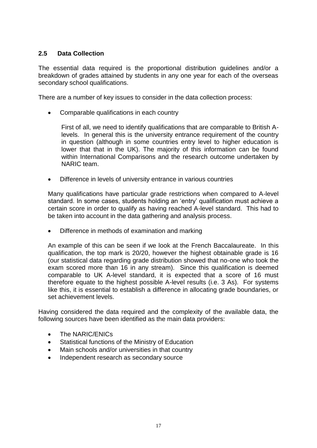## **2.5 Data Collection**

The essential data required is the proportional distribution guidelines and/or a breakdown of grades attained by students in any one year for each of the overseas secondary school qualifications.

There are a number of key issues to consider in the data collection process:

Comparable qualifications in each country

First of all, we need to identify qualifications that are comparable to British Alevels. In general this is the university entrance requirement of the country in question (although in some countries entry level to higher education is lower that that in the UK). The majority of this information can be found within International Comparisons and the research outcome undertaken by NARIC team.

Difference in levels of university entrance in various countries

Many qualifications have particular grade restrictions when compared to A-level standard. In some cases, students holding an 'entry' qualification must achieve a certain score in order to qualify as having reached A-level standard. This had to be taken into account in the data gathering and analysis process.

Difference in methods of examination and marking

An example of this can be seen if we look at the French Baccalaureate. In this qualification, the top mark is 20/20, however the highest obtainable grade is 16 (our statistical data regarding grade distribution showed that no-one who took the exam scored more than 16 in any stream). Since this qualification is deemed comparable to UK A-level standard, it is expected that a score of 16 must therefore equate to the highest possible A-level results (i.e. 3 As). For systems like this, it is essential to establish a difference in allocating grade boundaries, or set achievement levels.

Having considered the data required and the complexity of the available data, the following sources have been identified as the main data providers:

- The NARIC/ENICs
- Statistical functions of the Ministry of Education
- Main schools and/or universities in that country
- Independent research as secondary source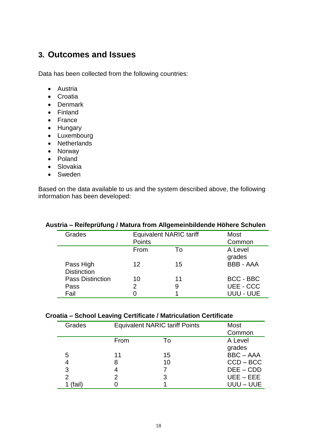## <span id="page-17-0"></span>**3. Outcomes and Issues**

Data has been collected from the following countries:

- Austria
- Croatia
- Denmark
- Finland
- France
- Hungary
- Luxembourg
- Netherlands
- Norway
- Poland
- Slovakia
- Sweden

Based on the data available to us and the system described above, the following information has been developed:

| Grades                          | <b>Equivalent NARIC tariff</b> |    | <b>Most</b>       |
|---------------------------------|--------------------------------|----|-------------------|
|                                 | Points                         |    | Common            |
|                                 | From                           | To | A Level<br>grades |
| Pass High<br><b>Distinction</b> | 12                             | 15 | <b>BBB - AAA</b>  |
| <b>Pass Distinction</b>         | 10                             | 11 | <b>BCC - BBC</b>  |
| Pass                            | 2                              | 9  | UEE - CCC         |
| Fail                            |                                |    | UUU - UUE         |

#### **Austria – Reifeprüfung / Matura from Allgemeinbildende Höhere Schulen**

#### **Croatia – School Leaving Certificate / Matriculation Certificate**

| Grades | <b>Equivalent NARIC tariff Points</b> |    | <b>Most</b><br>Common |
|--------|---------------------------------------|----|-----------------------|
|        | From                                  | To | A Level               |
|        |                                       |    | grades                |
| 5      | 11                                    | 15 | <b>BBC-AAA</b>        |
| 4      | 8                                     | 10 | $CCD - BCC$           |
| 3      |                                       |    | $DEE - CDD$           |
| 2      |                                       |    | $UEE - EEE$           |
| (fail) |                                       |    | UUU – UUE             |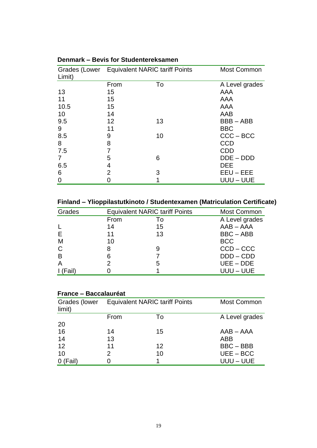| Limit) | Grades (Lower Equivalent NARIC tariff Points |    | <b>Most Common</b> |
|--------|----------------------------------------------|----|--------------------|
|        | From                                         | To | A Level grades     |
| 13     | 15                                           |    | AAA                |
| 11     | 15                                           |    | AAA                |
| 10.5   | 15                                           |    | AAA                |
| 10     | 14                                           |    | AAB                |
| 9.5    | 12                                           | 13 | <b>BBB-ABB</b>     |
| 9      | 11                                           |    | <b>BBC</b>         |
| 8.5    | 9                                            | 10 | $CCC - BCC$        |
| 8      | 8                                            |    | <b>CCD</b>         |
| 7.5    | 7                                            |    | <b>CDD</b>         |
|        | 5                                            | 6  | $DDE - DDD$        |
| 6.5    | 4                                            |    | <b>DEE</b>         |
| 6      | 2                                            | 3  | $EEU - EEE$        |
|        |                                              |    | UUU – UUE          |

**Denmark – Bevis for Studentereksamen**

**Finland – Ylioppilastutkinoto / Studentexamen (Matriculation Certificate)**

| Grades       |      | <b>Equivalent NARIC tariff Points</b> | <b>Most Common</b> |
|--------------|------|---------------------------------------|--------------------|
|              | From | T٥                                    | A Level grades     |
|              | 14   | 15                                    | $AAB - AAA$        |
|              | 11   | 13                                    | <b>BBC-ABB</b>     |
| M            | 10   |                                       | <b>BCC</b>         |
| $\mathsf{C}$ | 8    |                                       | $CCD - CCC$        |
| B            | 6    |                                       | $DDD - CDD$        |
| A            | 2    | 5                                     | $UEE - DDE$        |
| Fail)        |      |                                       | UUU – UUE          |
|              |      |                                       |                    |

| France - Baccalauréat |      |                                              |                    |  |  |
|-----------------------|------|----------------------------------------------|--------------------|--|--|
| limit)                |      | Grades (lower Equivalent NARIC tariff Points | <b>Most Common</b> |  |  |
|                       | From | To                                           | A Level grades     |  |  |
| 20                    |      |                                              |                    |  |  |
| 16                    | 14   | 15                                           | AAB – AAA          |  |  |
| 14                    | 13   |                                              | ABB                |  |  |
| 12                    | 11   | $12 \overline{ }$                            | $BBC - BBB$        |  |  |
| 10                    | 2    | 10                                           | $UEE - BCC$        |  |  |
| -ail)                 |      |                                              | UUU – UUE          |  |  |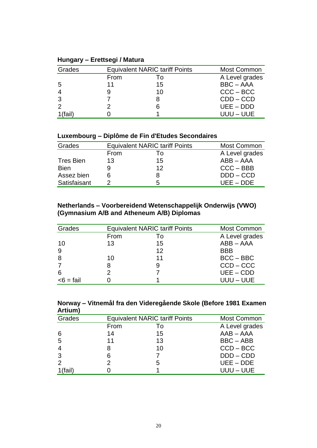| Grades  |      | <b>Equivalent NARIC tariff Points</b> | <b>Most Common</b> |
|---------|------|---------------------------------------|--------------------|
|         | From | ١o                                    | A Level grades     |
| 5       | 11   | 15                                    | <b>BBC - AAA</b>   |
|         |      | 10                                    | $CCC - BCC$        |
| 3       |      |                                       | $CDD - CCD$        |
|         |      | 6                                     | $UEE - DDD$        |
| 1(fail) |      |                                       | UUU – UUE          |

## **Hungary – Erettsegi / Matura**

## **Luxembourg – Diplôme de Fin d'Etudes Secondaires**

| Grades           |      | <b>Equivalent NARIC tariff Points</b> | <b>Most Common</b> |
|------------------|------|---------------------------------------|--------------------|
|                  | From | I٥                                    | A Level grades     |
| <b>Tres Bien</b> | 13   | 15                                    | $ABB - AAA$        |
| <b>Bien</b>      |      | 12                                    | $CCC - BBB$        |
| Assez bien       | 6    |                                       | $DDD - CCD$        |
| Satisfaisant     |      | 5                                     | $UEE - DDE$        |

#### **Netherlands – Voorbereidend Wetenschappelijk Onderwijs (VWO) (Gymnasium A/B and Atheneum A/B) Diplomas**

| Grades       |      | <b>Equivalent NARIC tariff Points</b> | <b>Most Common</b> |
|--------------|------|---------------------------------------|--------------------|
|              | From | Τo                                    | A Level grades     |
| 10           | 13   | 15                                    | $ABB - AAA$        |
| 9            |      | $12 \overline{ }$                     | <b>BBB</b>         |
| 8            | 10   | 11                                    | $BCC - BBC$        |
|              | 8    | 9                                     | $CCD - CCC$        |
| 6            | っ    |                                       | $UEE - CDD$        |
| $<$ 6 = fail |      |                                       | UUU – UUE          |

#### **Norway – Vitnemål fra den Videregående Skole (Before 1981 Examen Artium)**

| Grades         | <b>Equivalent NARIC tariff Points</b> |    | Most Common    |
|----------------|---------------------------------------|----|----------------|
|                | From                                  | T٥ | A Level grades |
| 6              | 14                                    | 15 | $AAB - AAA$    |
| 5              | 11                                    | 13 | BBC-ABB        |
| $\overline{4}$ | 8                                     | 10 | $CCD - BCC$    |
| 3              | 6                                     |    | $DDD - CDD$    |
| $\overline{2}$ |                                       | 5  | $UEE - DDE$    |
| 1(fail)        |                                       |    | UUU – UUE      |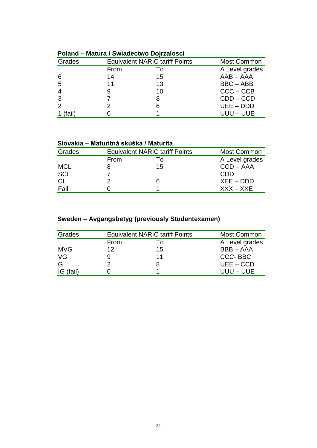| 1 VIUI 14          | matura / Uniqueditio Dojizarosor |                                       |                |  |
|--------------------|----------------------------------|---------------------------------------|----------------|--|
| Grades             |                                  | <b>Equivalent NARIC tariff Points</b> | Most Common    |  |
|                    | From                             | 10                                    | A Level grades |  |
| -6                 | 14                               | 15                                    | $AAB - AAA$    |  |
| -5                 | 11                               | 13                                    | BBC-ABB        |  |
|                    | 9                                | 10                                    | $CCC - CCB$    |  |
| 3                  |                                  | 8                                     | $CDD - CCD$    |  |
| $\overline{2}$     |                                  | 6                                     | $UEE - DDD$    |  |
| (fail <sup>-</sup> |                                  |                                       | UUU – UUE      |  |

#### **Poland – Matura / Swiadectwo Dojrzalosci**

#### **Slovakia – Maturitná skúška / Maturita**

| Grades     |      | <b>Equivalent NARIC tariff Points</b> | <b>Most Common</b> |
|------------|------|---------------------------------------|--------------------|
|            | From | Τo                                    | A Level grades     |
| <b>MCL</b> |      | 15                                    | $CCD - AAA$        |
| <b>SCL</b> |      |                                       | <b>CDD</b>         |
| CL         |      | 6                                     | $XEE - DDD$        |
| Fail       |      |                                       | $XXX - XXE$        |

## **Sweden – Avgangsbetyg (previously Studentexamen)**

| Grades     |             | <b>Equivalent NARIC tariff Points</b> | <b>Most Common</b> |
|------------|-------------|---------------------------------------|--------------------|
|            | <b>From</b> |                                       | A Level grades     |
| <b>MVG</b> | 12          | 15                                    | <b>BBB-AAA</b>     |
| VG         |             | 11                                    | CCC-BBC            |
| G          |             |                                       | $UEE - CCD$        |
| IG (fail)  |             |                                       | $UUU - UUE$        |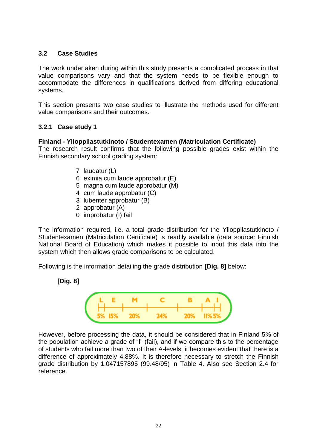### **3.2 Case Studies**

The work undertaken during within this study presents a complicated process in that value comparisons vary and that the system needs to be flexible enough to accommodate the differences in qualifications derived from differing educational systems.

This section presents two case studies to illustrate the methods used for different value comparisons and their outcomes.

## **3.2.1 Case study 1**

#### **Finland - Ylioppilastutkinoto / Studentexamen (Matriculation Certificate)**

The research result confirms that the following possible grades exist within the Finnish secondary school grading system:

- 7 laudatur (L)
- 6 eximia cum laude approbatur (E)
- 5 magna cum laude approbatur (M)
- 4 cum laude approbatur (C)
- 3 lubenter approbatur (B)
- 2 approbatur (A)
- 0 improbatur (I) fail

The information required, i.e. a total grade distribution for the Ylioppilastutkinoto / Studentexamen (Matriculation Certificate) is readily available (data source: Finnish National Board of Education) which makes it possible to input this data into the system which then allows grade comparisons to be calculated.

Following is the information detailing the grade distribution **[Dig. 8]** below:

#### **[Dig. 8]**



However, before processing the data, it should be considered that in Finland 5% of the population achieve a grade of "I" (fail), and if we compare this to the percentage of students who fail more than two of their A-levels, it becomes evident that there is a difference of approximately 4.88%. It is therefore necessary to stretch the Finnish grade distribution by 1.047157895 (99.48/95) in Table 4. Also see Section 2.4 for reference.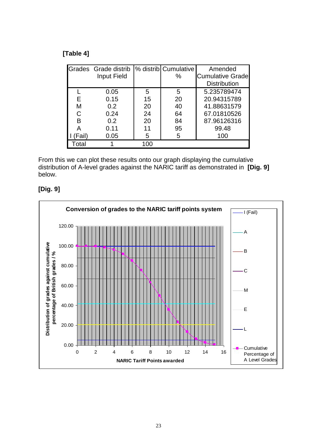## **[Table 4]**

|             | Grades Grade distrib |     | % distrib Cumulative | Amended                 |
|-------------|----------------------|-----|----------------------|-------------------------|
|             | Input Field          |     | $\%$                 | <b>Cumulative Grade</b> |
|             |                      |     |                      | <b>Distribution</b>     |
|             | 0.05                 | 5   | 5                    | 5.235789474             |
| Е           | 0.15                 | 15  | 20                   | 20.94315789             |
| М           | 0.2                  | 20  | 40                   | 41.88631579             |
|             | 0.24                 | 24  | 64                   | 67.01810526             |
| B           | 0.2                  | 20  | 84                   | 87.96126316             |
|             | 0.11                 | 11  | 95                   | 99.48                   |
| Fail        | 0.05                 | 5   | 5                    | 100                     |
| <b>ntal</b> |                      | 100 |                      |                         |

From this we can plot these results onto our graph displaying the cumulative distribution of A-level grades against the NARIC tariff as demonstrated in **[Dig. 9]** below.



## **[Dig. 9]**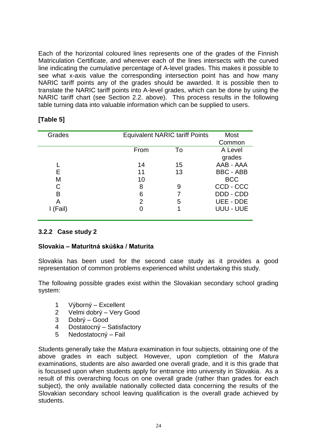Each of the horizontal coloured lines represents one of the grades of the Finnish Matriculation Certificate, and wherever each of the lines intersects with the curved line indicating the cumulative percentage of A-level grades. This makes it possible to see what x-axis value the corresponding intersection point has and how many NARIC tariff points any of the grades should be awarded. It is possible then to translate the NARIC tariff points into A-level grades, which can be done by using the NARIC tariff chart (see Section 2.2. above). This process results in the following table turning data into valuable information which can be supplied to users.

| Grades |      | <b>Equivalent NARIC tariff Points</b> | Most             |
|--------|------|---------------------------------------|------------------|
|        |      |                                       | Common           |
|        | From | To                                    | A Level          |
|        |      |                                       | grades           |
|        | 14   | 15                                    | AAB - AAA        |
| E      | 11   | 13                                    | <b>BBC - ABB</b> |
| М      | 10   |                                       | <b>BCC</b>       |
| C      | 8    | 9                                     | CCD - CCC        |
| В      | 6    |                                       | DDD - CDD        |
| Α      | 2    | 5                                     | UEE - DDE        |
| (Fail) |      |                                       | UUU - UUE        |
|        |      |                                       |                  |

## **[Table 5]**

## **3.2.2 Case study 2**

#### **Slovakia – Maturitná skúška / Maturita**

Slovakia has been used for the second case study as it provides a good representation of common problems experienced whilst undertaking this study.

The following possible grades exist within the Slovakian secondary school grading system:

- 1 Výborný Excellent
- 2 Velmi dobrý Very Good
- 3 Dobrý Good
- 4 Dostatocný Satisfactory
- 5 Nedostatocný Fail

Students generally take the *Matura* examination in four subjects, obtaining one of the above grades in each subject. However, upon completion of the *Matura* examinations, students are also awarded one overall grade, and it is this grade that is focussed upon when students apply for entrance into university in Slovakia. As a result of this overarching focus on one overall grade (rather than grades for each subject), the only available nationally collected data concerning the results of the Slovakian secondary school leaving qualification is the overall grade achieved by students.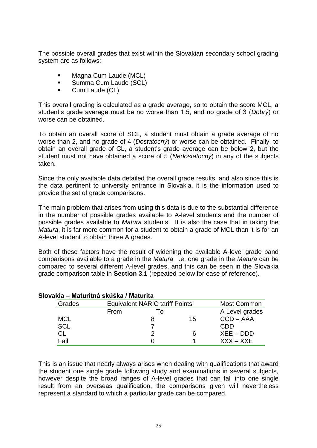The possible overall grades that exist within the Slovakian secondary school grading system are as follows:

- **Magna Cum Laude (MCL)**
- **Summa Cum Laude (SCL)**
- **Cum Laude (CL)**

This overall grading is calculated as a grade average, so to obtain the score MCL, a student's grade average must be no worse than 1.5, and no grade of 3 (*Dobrý*) or worse can be obtained.

To obtain an overall score of SCL, a student must obtain a grade average of no worse than 2, and no grade of 4 (*Dostatocný*) or worse can be obtained. Finally, to obtain an overall grade of CL, a student's grade average can be below 2, but the student must not have obtained a score of 5 (*Nedostatocný*) in any of the subjects taken.

Since the only available data detailed the overall grade results, and also since this is the data pertinent to university entrance in Slovakia, it is the information used to provide the set of grade comparisons.

The main problem that arises from using this data is due to the substantial difference in the number of possible grades available to A-level students and the number of possible grades available to *Matura* students. It is also the case that in taking the *Matura*, it is far more common for a student to obtain a grade of MCL than it is for an A-level student to obtain three A grades.

Both of these factors have the result of widening the available A-level grade band comparisons available to a grade in the *Matura* i.e. one grade in the *Matura* can be compared to several different A-level grades, and this can be seen in the Slovakia grade comparison table in **Section 3.1** (repeated below for ease of reference).

| Grades     | <b>Equivalent NARIC tariff Points</b><br><b>Most Common</b> |    |    |                |
|------------|-------------------------------------------------------------|----|----|----------------|
|            | From                                                        | ١n |    | A Level grades |
| <b>MCL</b> |                                                             |    | 15 | $CCD - AAA$    |
| <b>SCL</b> |                                                             |    |    | CDD            |
| СL         |                                                             |    | 6  | $XEE - DDD$    |
| Fail       |                                                             |    |    | $XXX - XXE$    |

#### **Slovakia – Maturitná skúška / Maturita**

This is an issue that nearly always arises when dealing with qualifications that award the student one single grade following study and examinations in several subjects, however despite the broad ranges of A-level grades that can fall into one single result from an overseas qualification, the comparisons given will nevertheless represent a standard to which a particular grade can be compared.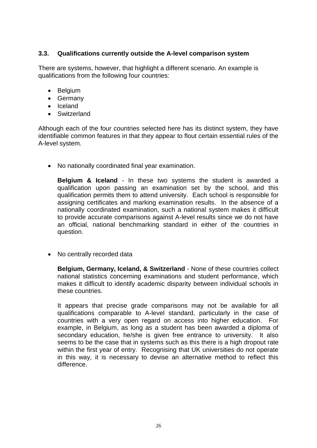## **3.3. Qualifications currently outside the A-level comparison system**

There are systems, however, that highlight a different scenario. An example is qualifications from the following four countries:

- Belgium
- Germany
- Iceland
- Switzerland

Although each of the four countries selected here has its distinct system, they have identifiable common features in that they appear to flout certain essential rules of the A-level system.

No nationally coordinated final year examination.

**Belgium & Iceland** - In these two systems the student is awarded a qualification upon passing an examination set by the school, and this qualification permits them to attend university. Each school is responsible for assigning certificates and marking examination results. In the absence of a nationally coordinated examination, such a national system makes it difficult to provide accurate comparisons against A-level results since we do not have an official, national benchmarking standard in either of the countries in question.

• No centrally recorded data

**Belgium, Germany, Iceland, & Switzerland** - None of these countries collect national statistics concerning examinations and student performance, which makes it difficult to identify academic disparity between individual schools in these countries.

It appears that precise grade comparisons may not be available for all qualifications comparable to A-level standard, particularly in the case of countries with a very open regard on access into higher education. For example, in Belgium, as long as a student has been awarded a diploma of secondary education, he/she is given free entrance to university. It also seems to be the case that in systems such as this there is a high dropout rate within the first year of entry. Recognising that UK universities do not operate in this way, it is necessary to devise an alternative method to reflect this difference.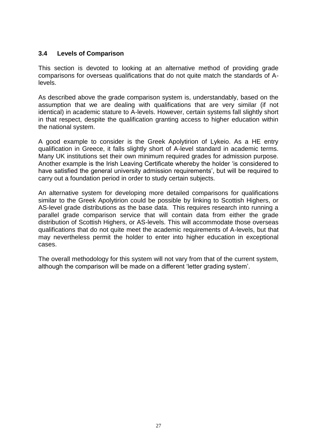## **3.4 Levels of Comparison**

This section is devoted to looking at an alternative method of providing grade comparisons for overseas qualifications that do not quite match the standards of Alevels.

As described above the grade comparison system is, understandably, based on the assumption that we are dealing with qualifications that are very similar (if not identical) in academic stature to A-levels. However, certain systems fall slightly short in that respect, despite the qualification granting access to higher education within the national system.

A good example to consider is the Greek Apolytirion of Lykeio. As a HE entry qualification in Greece, it falls slightly short of A-level standard in academic terms. Many UK institutions set their own minimum required grades for admission purpose. Another example is the Irish Leaving Certificate whereby the holder 'is considered to have satisfied the general university admission requirements', but will be required to carry out a foundation period in order to study certain subjects.

An alternative system for developing more detailed comparisons for qualifications similar to the Greek Apolytirion could be possible by linking to Scottish Highers, or AS-level grade distributions as the base data. This requires research into running a parallel grade comparison service that will contain data from either the grade distribution of Scottish Highers, or AS-levels. This will accommodate those overseas qualifications that do not quite meet the academic requirements of A-levels, but that may nevertheless permit the holder to enter into higher education in exceptional cases.

The overall methodology for this system will not vary from that of the current system, although the comparison will be made on a different 'letter grading system'.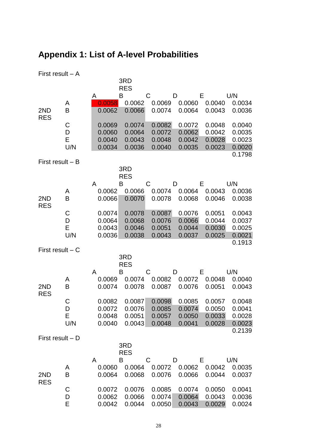# <span id="page-27-0"></span>**Appendix 1: List of A-level Probabilities**

| First result $- A$ |                    |                                      | 3RD<br><b>RES</b>                    |                                      |                                      |                                      |                                                |
|--------------------|--------------------|--------------------------------------|--------------------------------------|--------------------------------------|--------------------------------------|--------------------------------------|------------------------------------------------|
|                    |                    | A                                    | B                                    | C                                    | D                                    | Е                                    | U/N                                            |
| 2ND<br><b>RES</b>  | A<br>B             | 0.0058<br>0.0062                     | 0.0062<br>0.0066                     | 0.0069<br>0.0074                     | 0.0060<br>0.0064                     | 0.0040<br>0.0043                     | 0.0034<br>0.0036                               |
|                    | C<br>D<br>E<br>U/N | 0.0069<br>0.0060<br>0.0040<br>0.0034 | 0.0074<br>0.0064<br>0.0043<br>0.0036 | 0.0082<br>0.0072<br>0.0048<br>0.0040 | 0.0072<br>0.0062<br>0.0042<br>0.0035 | 0.0048<br>0.0042<br>0.0028<br>0.0023 | 0.0040<br>0.0035<br>0.0023<br>0.0020<br>0.1798 |
| First result $- B$ |                    |                                      | 3RD<br><b>RES</b>                    |                                      |                                      |                                      |                                                |
|                    |                    | A                                    | B                                    | C                                    | D                                    | E                                    | U/N                                            |
| 2ND<br><b>RES</b>  | A<br>B             | 0.0062<br>0.0066                     | 0.0066<br>0.0070                     | 0.0074<br>0.0078                     | 0.0064<br>0.0068                     | 0.0043<br>0.0046                     | 0.0036<br>0.0038                               |
|                    | C<br>D<br>E<br>U/N | 0.0074<br>0.0064<br>0.0043<br>0.0036 | 0.0078<br>0.0068<br>0.0046<br>0.0038 | 0.0087<br>0.0076<br>0.0051<br>0.0043 | 0.0076<br>0.0066<br>0.0044<br>0.0037 | 0.0051<br>0.0044<br>0.0030<br>0.0025 | 0.0043<br>0.0037<br>0.0025<br>0.0021           |
| First result $-$ C |                    |                                      |                                      |                                      |                                      |                                      | 0.1913                                         |
|                    |                    |                                      | 3RD<br><b>RES</b>                    |                                      |                                      |                                      |                                                |
|                    |                    | A                                    | B                                    | C                                    | D                                    | Е                                    | U/N                                            |
| 2ND<br><b>RES</b>  | A<br>B             | 0.0069<br>0.0074                     | 0.0074<br>0.0078                     | 0.0082<br>0.0087                     | 0.0072<br>0.0076                     | 0.0048<br>0.0051                     | 0.0040<br>0.0043                               |
|                    | C<br>D<br>Е<br>U/N | 0.0082<br>0.0072<br>0.0048<br>0.0040 | 0.0087<br>0.0076<br>0.0051<br>0.0043 | 0.0098<br>0.0085<br>0.0057<br>0.0048 | 0.0085<br>0.0074<br>0.0050<br>0.0041 | 0.0057<br>0.0050<br>0.0033<br>0.0028 | 0.0048<br>0.0041<br>0.0028<br>0.0023<br>0.2139 |
| First result $- D$ |                    |                                      |                                      |                                      |                                      |                                      |                                                |
|                    |                    |                                      | 3RD<br><b>RES</b>                    |                                      |                                      |                                      |                                                |
|                    |                    | A<br>Β                               |                                      | C                                    | D                                    | Е                                    | U/N                                            |
| 2ND<br><b>RES</b>  | A<br>B             | 0.0060<br>0.0064                     | 0.0064<br>0.0068                     | 0.0072<br>0.0076                     | 0.0062<br>0.0066                     | 0.0042<br>0.0044                     | 0.0035<br>0.0037                               |
|                    | C                  | 0.0072                               | 0.0076                               | 0.0085                               | 0.0074                               | 0.0050                               | 0.0041                                         |
|                    | D                  | 0.0062                               | 0.0066                               | 0.0074                               | 0.0064                               | 0.0043                               | 0.0036                                         |
|                    | E                  | 0.0042                               | 0.0044                               | 0.0050                               | 0.0043                               | 0.0029                               | 0.0024                                         |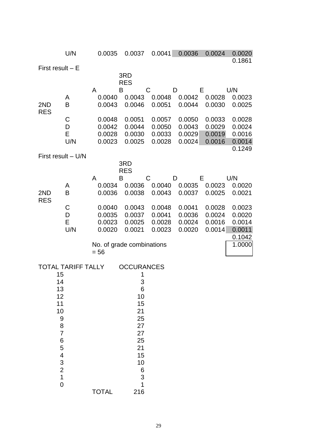|                     | U/N                       | 0.0035                    | 0.0037                | 0.0041           | 0.0036           | 0.0024           | 0.0020<br>0.1861 |
|---------------------|---------------------------|---------------------------|-----------------------|------------------|------------------|------------------|------------------|
| First result $-E$   |                           |                           |                       |                  |                  |                  |                  |
|                     |                           |                           | 3RD<br><b>RES</b>     |                  |                  |                  |                  |
|                     |                           | A                         | B                     | C                | D                | Е                | U/N              |
|                     | A                         | 0.0040                    | 0.0043                | 0.0048           | 0.0042           | 0.0028           | 0.0023           |
| 2ND<br><b>RES</b>   | B                         | 0.0043                    | 0.0046                | 0.0051           | 0.0044           | 0.0030           | 0.0025           |
|                     | C                         | 0.0048                    | 0.0051                | 0.0057           | 0.0050           | 0.0033           | 0.0028           |
|                     | D<br>E                    | 0.0042<br>0.0028          | 0.0044<br>0.0030      | 0.0050<br>0.0033 | 0.0043<br>0.0029 | 0.0029<br>0.0019 | 0.0024<br>0.0016 |
|                     | U/N                       | 0.0023                    | 0.0025                | 0.0028           | 0.0024           | 0.0016           | 0.0014           |
|                     |                           |                           |                       |                  |                  |                  | 0.1249           |
| First result - U/N  |                           |                           | 3RD                   |                  |                  |                  |                  |
|                     |                           |                           | <b>RES</b>            |                  |                  |                  |                  |
|                     | A                         | A<br>0.0034               | Β<br>0.0036           | C<br>0.0040      | D<br>0.0035      | Е<br>0.0023      | U/N<br>0.0020    |
| 2ND                 | B                         | 0.0036                    | 0.0038                | 0.0043           | 0.0037           | 0.0025           | 0.0021           |
| <b>RES</b>          | C                         | 0.0040                    | 0.0043                | 0.0048           | 0.0041           | 0.0028           | 0.0023           |
|                     | D                         | 0.0035                    | 0.0037                | 0.0041           | 0.0036           | 0.0024           | 0.0020           |
|                     | E                         | 0.0023                    | 0.0025                | 0.0028           | 0.0024           | 0.0016           | 0.0014           |
|                     | U/N                       | 0.0020                    | 0.0021                | 0.0023           | 0.0020           | 0.0014           | 0.0011<br>0.1042 |
|                     |                           | No. of grade combinations |                       |                  |                  |                  | 1.0000           |
|                     |                           | $= 56$                    |                       |                  |                  |                  |                  |
|                     | <b>TOTAL TARIFF TALLY</b> |                           | <b>OCCURANCES</b>     |                  |                  |                  |                  |
| 15                  |                           |                           | 1                     |                  |                  |                  |                  |
| 14<br>13            |                           |                           | 3<br>$\boldsymbol{6}$ |                  |                  |                  |                  |
| 12                  |                           |                           | 10                    |                  |                  |                  |                  |
| 11                  |                           |                           | 15                    |                  |                  |                  |                  |
| 10<br>9             |                           |                           | 21<br>25              |                  |                  |                  |                  |
| 8                   |                           |                           | 27                    |                  |                  |                  |                  |
| $\overline{7}$<br>6 |                           |                           | 27<br>25              |                  |                  |                  |                  |
| 5                   |                           |                           | 21                    |                  |                  |                  |                  |
| 4                   |                           |                           | 15                    |                  |                  |                  |                  |
| $\frac{3}{2}$       |                           |                           | 10<br>6               |                  |                  |                  |                  |
| $\overline{1}$      |                           |                           | 3                     |                  |                  |                  |                  |
| $\overline{0}$      |                           | <b>TOTAL</b>              | $\overline{1}$<br>216 |                  |                  |                  |                  |
|                     |                           |                           |                       |                  |                  |                  |                  |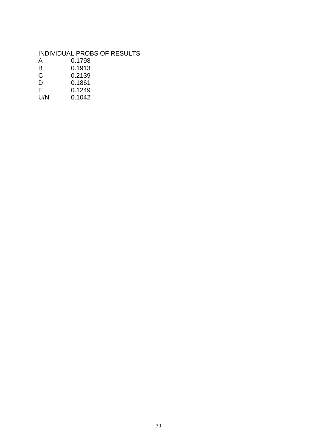## INDIVIDUAL PROBS OF RESULTS

| A         | 0.1798     |
|-----------|------------|
| B         | 0.1913     |
| C         | 0.2139     |
| D         | 0.1861     |
| E         | 0.1249     |
| 1 1 / N 1 | . <i>.</i> |

U/N 0.1042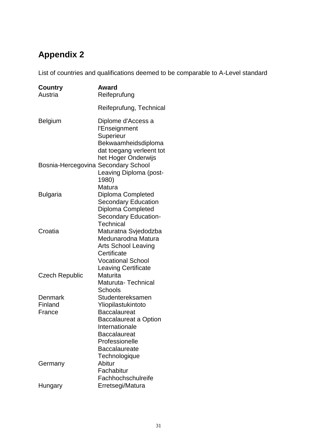# <span id="page-30-0"></span>**Appendix 2**

List of countries and qualifications deemed to be comparable to A-Level standard

| <b>Country</b><br>Austria           | Award<br>Reifeprufung                                                                                                                                                                             |
|-------------------------------------|---------------------------------------------------------------------------------------------------------------------------------------------------------------------------------------------------|
|                                     | Reifeprufung, Technical                                                                                                                                                                           |
| <b>Belgium</b>                      | Diplome d'Access a<br>l'Enseignment<br>Superieur<br>Bekwaamheidsdiploma<br>dat toegang verleent tot                                                                                               |
| Bosnia-Hercegovina Secondary School | het Hoger Onderwijs<br>Leaving Diploma (post-<br>1980)<br>Matura                                                                                                                                  |
| <b>Bulgaria</b>                     | Diploma Completed<br>Secondary Education<br><b>Diploma Completed</b><br><b>Secondary Education-</b><br>Technical                                                                                  |
| Croatia                             | Maturatna Svjedodzba<br>Medunarodna Matura<br><b>Arts School Leaving</b><br>Certificate<br><b>Vocational School</b><br><b>Leaving Certificate</b>                                                 |
| <b>Czech Republic</b>               | Maturita<br>Maturuta-Technical<br>Schools                                                                                                                                                         |
| Denmark<br>Finland<br>France        | Studentereksamen<br>Yliopilastukintoto<br><b>Baccalaureat</b><br><b>Baccalaureat a Option</b><br>Internationale<br><b>Baccalaureat</b><br>Professionelle<br><b>Baccalaureate</b><br>Technologique |
| Germany                             | Abitur<br>Fachabitur<br>Fachhochschulreife                                                                                                                                                        |
| Hungary                             | Erretsegi/Matura                                                                                                                                                                                  |